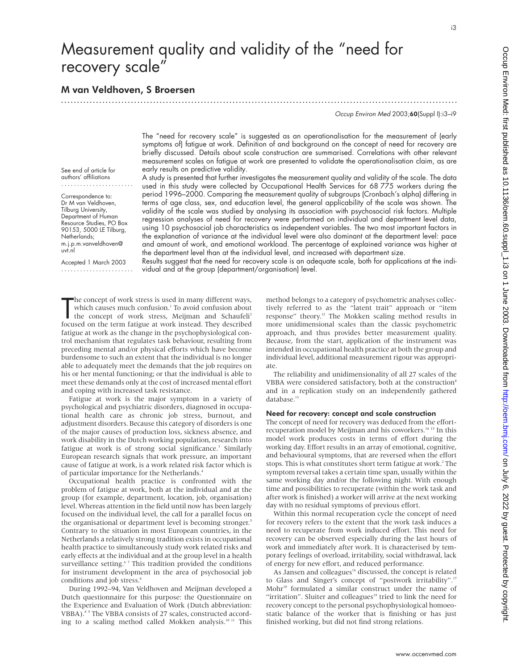# Measurement quality and validity of the "need for recovery scale"

## M van Veldhoven, S Broersen

.............................................................................................................................

Occup Environ Med 2003;60(Suppl I):i3–i9

The "need for recovery scale" is suggested as an operationalisation for the measurement of (early symptoms of) fatigue at work. Definition of and background on the concept of need for recovery are briefly discussed. Details about scale construction are summarised. Correlations with other relevant measurement scales on fatigue at work are presented to validate the operationalisation claim, as are early results on predictive validity.

See end of article for authors' affiliations .......................

Correspondence to: Dr M van Veldhoven, Tilburg University, Department of Human Resource Studies, PO Box 90153, 5000 LE Tilburg, Netherlands; m.j.p.m.vanveldhoven@ uvt.nl

Accepted 1 March 2003 ....................... A study is presented that further investigates the measurement quality and validity of the scale. The data used in this study were collected by Occupational Health Services for 68 775 workers during the period 1996–2000. Comparing the measurement quality of subgroups (Cronbach's alpha) differing in terms of age class, sex, and education level, the general applicability of the scale was shown. The validity of the scale was studied by analysing its association with psychosocial risk factors. Multiple regression analyses of need for recovery were performed on individual and department level data, using 10 psychosocial job characteristics as independent variables. The two most important factors in the explanation of variance at the individual level were also dominant at the department level: pace and amount of work, and emotional workload. The percentage of explained variance was higher at the department level than at the individual level, and increased with department size.

Results suggest that the need for recovery scale is an adequate scale, both for applications at the individual and at the group (department/organisation) level.

The concept of work stress is used in many different ways,<br>which causes much confusion.<sup>1</sup> To avoid confusion about<br>the concept of work stress, Meijman and Schaufell<sup>2</sup><br>focused on the term fatigue at work instead. They des he concept of work stress is used in many different ways, which causes much confusion.<sup>1</sup> To avoid confusion about the concept of work stress, Meijman and Schaufeli<sup>2</sup> fatigue at work as the change in the psychophysiological control mechanism that regulates task behaviour, resulting from preceding mental and/or physical efforts which have become burdensome to such an extent that the individual is no longer able to adequately meet the demands that the job requires on his or her mental functioning; or that the individual is able to meet these demands only at the cost of increased mental effort and coping with increased task resistance.

Fatigue at work is the major symptom in a variety of psychological and psychiatric disorders, diagnosed in occupational health care as chronic job stress, burnout, and adjustment disorders. Because this category of disorders is one of the major causes of production loss, sickness absence, and work disability in the Dutch working population, research into fatigue at work is of strong social significance.<sup>3</sup> Similarly European research signals that work pressure, an important cause of fatigue at work, is a work related risk factor which is of particular importance for the Netherlands.<sup>4</sup>

Occupational health practice is confronted with the problem of fatigue at work, both at the individual and at the group (for example, department, location, job, organisation) level. Whereas attention in the field until now has been largely focused on the individual level, the call for a parallel focus on the organisational or department level is becoming stronger.<sup>5</sup> Contrary to the situation in most European countries, in the Netherlands a relatively strong tradition exists in occupational health practice to simultaneously study work related risks and early effects at the individual and at the group level in a health surveillance setting.<sup>67</sup> This tradition provided the conditions for instrument development in the area of psychosocial job conditions and job stress.<sup>8</sup>

During 1992–94, Van Veldhoven and Meijman developed a Dutch questionnaire for this purpose: the Questionnaire on the Experience and Evaluation of Work (Dutch abbreviation: VBBA).<sup>8 9</sup> The VBBA consists of 27 scales, constructed according to a scaling method called Mokken analysis.10 11 This

method belongs to a category of psychometric analyses collectively referred to as the "latent trait" approach or "item response" theory.12 The Mokken scaling method results in more unidimensional scales than the classic psychometric approach, and thus provides better measurement quality. Because, from the start, application of the instrument was intended in occupational health practice at both the group and individual level, additional measurement rigour was appropriate.

The reliability and unidimensionality of all 27 scales of the VBBA were considered satisfactory, both at the construction<sup>8</sup> and in a replication study on an independently gathered database.<sup>13</sup>

## Need for recovery: concept and scale construction

The concept of need for recovery was deduced from the effortrecuperation model by Meijman and his coworkers.<sup>14 15</sup> In this model work produces costs in terms of effort during the working day. Effort results in an array of emotional, cognitive, and behavioural symptoms, that are reversed when the effort stops. This is what constitutes short term fatigue at work.<sup>2</sup> The symptom reversal takes a certain time span, usually within the same working day and/or the following night. With enough time and possibilities to recuperate (within the work task and after work is finished) a worker will arrive at the next working day with no residual symptoms of previous effort.

Within this normal recuperation cycle the concept of need for recovery refers to the extent that the work task induces a need to recuperate from work induced effort. This need for recovery can be observed especially during the last hours of work and immediately after work. It is characterised by temporary feelings of overload, irritability, social withdrawal, lack of energy for new effort, and reduced performance.

As Jansen and colleagues<sup>16</sup> discussed, the concept is related to Glass and Singer's concept of "postwork irritability".17 Mohr<sup>18</sup> formulated a similar construct under the name of "irritation". Sluiter and colleagues $19$  tried to link the need for recovery concept to the personal psychophysiological homoeostatic balance of the worker that is finishing or has just finished working, but did not find strong relations.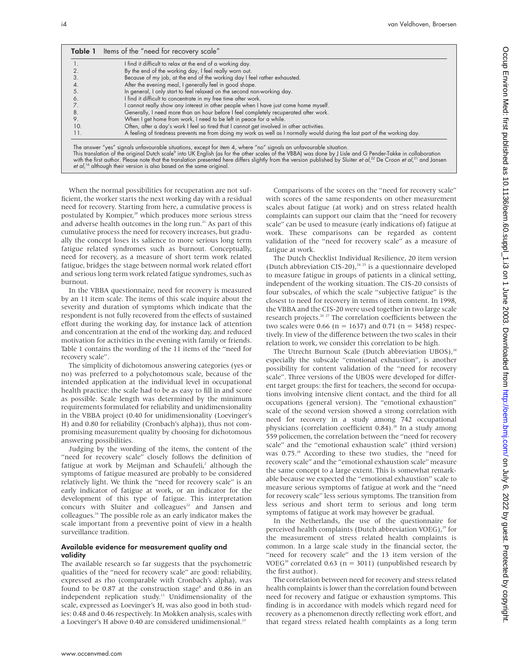|     | I find it difficult to relax at the end of a working day.                                                                  |
|-----|----------------------------------------------------------------------------------------------------------------------------|
|     | By the end of the working day, I feel really worn out.                                                                     |
|     | Because of my job, at the end of the working day I feel rather exhausted.                                                  |
|     | After the evening meal, I generally feel in good shape.                                                                    |
|     | In general, I only start to feel relaxed on the second non-working day.                                                    |
|     | I find it difficult to concentrate in my free time after work.                                                             |
|     | I cannot really show any interest in other people when I have just come home myself.                                       |
|     | Generally, I need more than an hour before I feel completely recuperated after work.                                       |
|     | When I get home from work, I need to be left in peace for a while.                                                         |
| 10. | Often, after a day's work I feel so tired that I cannot get involved in other activities.                                  |
| 11. | A feeling of tiredness prevents me from doing my work as well as I normally would during the last part of the working day. |

When the normal possibilities for recuperation are not sufficient, the worker starts the next working day with a residual need for recovery. Starting from here, a cumulative process is postulated by Kompier,<sup>20</sup> which produces more serious stress and adverse health outcomes in the long run.<sup>21</sup> As part of this cumulative process the need for recovery increases, but gradually the concept loses its salience to more serious long term fatigue related syndromes such as burnout. Conceptually, need for recovery, as a measure of short term work related fatigue, bridges the stage between normal work related effort and serious long term work related fatigue syndromes, such as burnout.

et al,<sup>16</sup> although their version is also based on the same original.

In the VBBA questionnaire, need for recovery is measured by an 11 item scale. The items of this scale inquire about the severity and duration of symptoms which indicate that the respondent is not fully recovered from the effects of sustained effort during the working day, for instance lack of attention and concentration at the end of the working day, and reduced motivation for activities in the evening with family or friends. Table 1 contains the wording of the 11 items of the "need for recovery scale".

The simplicity of dichotomous answering categories (yes or no) was preferred to a polychotomous scale, because of the intended application at the individual level in occupational health practice: the scale had to be as easy to fill in and score as possible. Scale length was determined by the minimum requirements formulated for reliability and unidimensionality in the VBBA project (0.40 for unidimensionality (Loevinger's H) and 0.80 for reliability (Cronbach's alpha)), thus not compromising measurement quality by choosing for dichotomous answering possibilities.

Judging by the wording of the items, the content of the "need for recovery scale" closely follows the definition of fatigue at work by Meijman and Schaufeli,<sup>2</sup> although the symptoms of fatigue measured are probably to be considered relatively light. We think the "need for recovery scale" is an early indicator of fatigue at work, or an indicator for the development of this type of fatigue. This interpretation concurs with Sluiter and colleagues<sup>22</sup> and Jansen and colleagues.16 The possible role as an early indicator makes the scale important from a preventive point of view in a health surveillance tradition.

#### Available evidence for measurement quality and validity

The available research so far suggests that the psychometric qualities of the "need for recovery scale" are good: reliability, expressed as rho (comparable with Cronbach's alpha), was found to be  $0.87$  at the construction stage<sup>8</sup> and  $0.86$  in an independent replication study.13 Unidimensionality of the scale, expressed as Loevinger's H, was also good in both studies: 0.48 and 0.46 respectively. In Mokken analysis, scales with a Loevinger's H above 0.40 are considered unidimensional.<sup>23</sup>

Comparisons of the scores on the "need for recovery scale" with scores of the same respondents on other measurement scales about fatigue (at work) and on stress related health complaints can support our claim that the "need for recovery scale" can be used to measure (early indications of) fatigue at work. These comparisons can be regarded as content validation of the "need for recovery scale" as a measure of fatigue at work.

The Dutch Checklist Individual Resilience, 20 item version (Dutch abbreviation CIS-20), $24^{25}$  is a questionnaire developed to measure fatigue in groups of patients in a clinical setting, independent of the working situation. The CIS-20 consists of four subscales, of which the scale "subjective fatigue" is the closest to need for recovery in terms of item content. In 1998, the VBBA and the CIS-20 were used together in two large scale research projects.<sup>26 27</sup> The correlation coefficients between the two scales were 0.66 ( $n = 1637$ ) and 0.71 ( $n = 3458$ ) respectively. In view of the difference between the two scales in their relation to work, we consider this correlation to be high.

The Utrecht Burnout Scale (Dutch abbreviation UBOS),<sup>28</sup> especially the subscale "emotional exhaustion", is another possibility for content validation of the "need for recovery scale". Three versions of the UBOS were developed for different target groups: the first for teachers, the second for occupations involving intensive client contact, and the third for all occupations (general version). The "emotional exhaustion" scale of the second version showed a strong correlation with need for recovery in a study among 742 occupational physicians (correlation coefficient 0.84).<sup>28</sup> In a study among 559 policemen, the correlation between the "need for recovery scale" and the "emotional exhaustion scale" (third version) was 0.75<sup>28</sup> According to these two studies, the "need for recovery scale" and the "emotional exhaustion scale" measure the same concept to a large extent. This is somewhat remarkable because we expected the "emotional exhaustion" scale to measure serious symptoms of fatigue at work and the "need for recovery scale" less serious symptoms. The transition from less serious and short term to serious and long term symptoms of fatigue at work may however be gradual.

In the Netherlands, the use of the questionnaire for perceived health complaints (Dutch abbreviation VOEG),<sup>29</sup> for the measurement of stress related health complaints is common. In a large scale study in the financial sector, the "need for recovery scale" and the 13 item version of the VOEG<sup>30</sup> correlated 0.63 ( $n = 3011$ ) (unpublished research by the first author).

The correlation between need for recovery and stress related health complaints is lower than the correlation found between need for recovery and fatigue or exhaustion symptoms. This finding is in accordance with models which regard need for recovery as a phenomenon directly reflecting work effort, and that regard stress related health complaints as a long term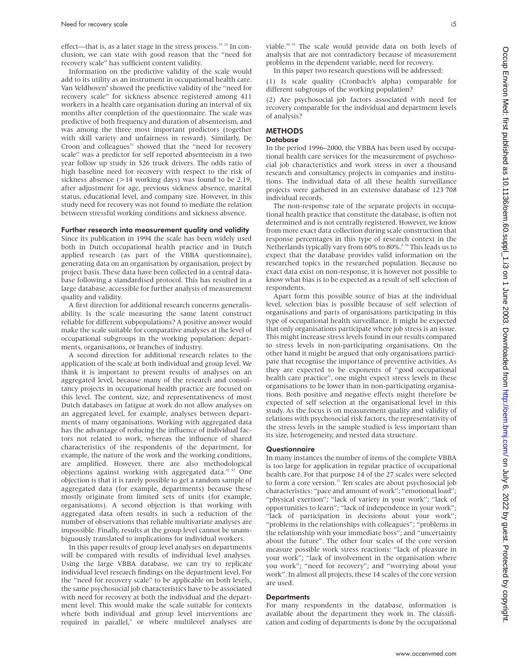effect—that is, as a later stage in the stress process.<sup>15 21</sup> In conclusion, we can state with good reason that the "need for recovery scale" has sufficient content validity.

Information on the predictive validity of the scale would add to its utility as an instrument in occupational health care. Van Veldhoven<sup>8</sup> showed the predictive validity of the "need for recovery scale" for sickness absence registered among 411 workers in a health care organisation during an interval of six months after completion of the questionnaire. The scale was predictive of both frequency and duration of absenteeism, and was among the three most important predictors (together with skill variety and unfairness in reward). Similarly, De Croon and colleagues<sup>31</sup> showed that the "need for recovery scale" was a predictor for self reported absenteeism in a two year follow up study in 526 truck drivers. The odds ratio of high baseline need for recovery with respect to the risk of sickness absence (>14 working days) was found to be 2.19, after adjustment for age, previous sickness absence, marital status, educational level, and company size. However, in this study need for recovery was not found to mediate the relation between stressful working conditions and sickness absence.

#### Further research into measurement quality and validity

Since its publication in 1994 the scale has been widely used both in Dutch occupational health practice and in Dutch applied research (as part of the VBBA questionnaire), generating data on an organisation by organisation, project by project basis. These data have been collected in a central database following a standardised protocol. This has resulted in a large database, accessible for further analysis of measurement quality and validity.

A first direction for additional research concerns generalisability. Is the scale measuring the same latent construct reliable for different subpopulations? A positive answer would make the scale suitable for comparative analyses at the level of occupational subgroups in the working population: departments, organisations, or branches of industry.

A second direction for additional research relates to the application of the scale at both individual and group level. We think it is important to present results of analyses on an aggregated level, because many of the research and consultancy projects in occupational health practice are focused on this level. The content, size, and representativeness of most Dutch databases on fatigue at work do not allow analyses on an aggregated level, for example, analyses between departments of many organisations. Working with aggregated data has the advantage of reducing the influence of individual factors not related to work, whereas the influence of shared characteristics of the respondents of the department, for example, the nature of the work and the working conditions, are amplified. However, there are also methodological objections against working with aggregated data.<sup>32 33</sup> One objection is that it is rarely possible to get a random sample of aggregated data (for example, departments) because these mostly originate from limited sets of units (for example, organisations). A second objection is that working with aggregated data often results in such a reduction of the number of observations that reliable multivariate analyses are impossible. Finally, results at the group level cannot be unambiguously translated to implications for individual workers.

In this paper results of group level analyses on departments will be compared with results of individual level analyses. Using the large VBBA database, we can try to replicate individual level research findings on the department level. For the "need for recovery scale" to be applicable on both levels, the same psychosocial job characteristics have to be associated with need for recovery at both the individual and the department level. This would make the scale suitable for contexts where both individual and group level interventions are required in parallel,<sup>5</sup> or where multilevel analyses are viable.<sup>34 35</sup> The scale would provide data on both levels of analysis that are not contradictory because of measurement problems in the dependent variable, need for recovery. In this paper two research questions will be addressed:

(1) Is scale quality (Cronbach's alpha) comparable for different subgroups of the working population?

(2) Are psychosocial job factors associated with need for recovery comparable for the individual and department levels of analysis?

## **METHODS**

## **Database**

In the period 1996–2000, the VBBA has been used by occupational health care services for the measurement of psychosocial job characteristics and work stress in over a thousand research and consultancy projects in companies and institutions. The individual data of all these health surveillance projects were gathered in an extensive database of 123 708 individual records.

The non-response rate of the separate projects in occupational health practice that constitute the database, is often not determined and is not centrally registered. However, we know from more exact data collection during scale construction that response percentages in this type of research context in the Netherlands typically vary from 60% to 80%.<sup>8</sup> <sup>36</sup> This leads us to expect that the database provides valid information on the researched topics in the researched population. Because no exact data exist on non-response, it is however not possible to know what bias is to be expected as a result of self selection of respondents.

Apart form this possible source of bias at the individual level, selection bias is possible because of self selection of organisations and parts of organisations participating in this type of occupational health surveillance. It might be expected that only organisations participate where job stress is an issue. This might increase stress levels found in our results compared to stress levels in non-participating organisations. On the other hand it might be argued that only organisations participate that recognise the importance of preventive activities. As they are expected to be exponents of "good occupational health care practice", one might expect stress levels in these organisations to be lower than in non-participating organisations. Both positive and negative effects might therefore be expected of self selection at the organisational level in this study. As the focus is on measurement quality and validity of relations with psychosocial risk factors, the representativity of the stress levels in the sample studied is less important than its size, heterogeneity, and nested data structure.

## **Questionnaire**

In many instances the number of items of the complete VBBA is too large for application in regular practice of occupational health care. For that purpose 14 of the 27 scales were selected to form a core version.<sup>37</sup> Ten scales are about psychosocial job characteristics: "pace and amount of work"; "emotional load"; "physical exertion"; "lack of variety in your work"; "lack of opportunities to learn"; "lack of independence in your work"; "lack of participation in decisions about your work"; "problems in the relationships with colleagues"; "problems in the relationship with your immediate boss"; and "uncertainty about the future". The other four scales of the core version measure possible work stress reactions: "lack of pleasure in your work"; "lack of involvement in the organisation where you work"; "need for recovery"; and "worrying about your work". In almost all projects, these 14 scales of the core version are used.

#### **Departments**

For many respondents in the database, information is available about the department they work in. The classification and coding of departments is done by the occupational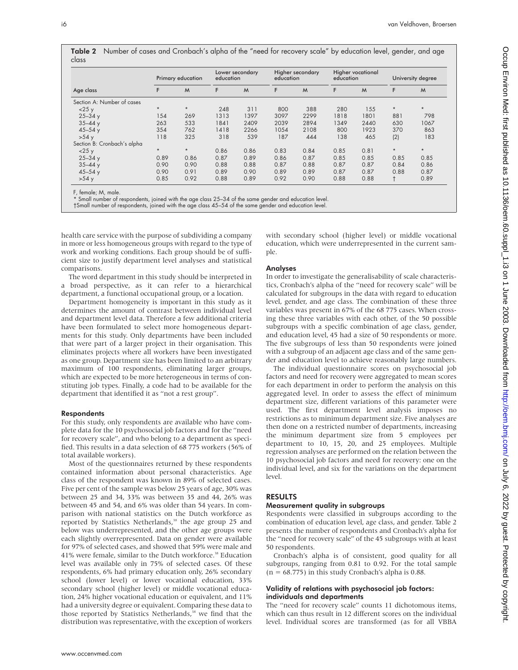|       | Primary education | Lower secondary<br>education | Higher secondary<br>education                                                                                            | Higher vocational<br>education | University degree |
|-------|-------------------|------------------------------|--------------------------------------------------------------------------------------------------------------------------|--------------------------------|-------------------|
| class |                   |                              | <b>Table 2</b> Number of cases and Cronbach's alpha of the "need for recovery scale" by education level, gender, and age |                                |                   |

|                             |         | Primary education | education |      | education |      | education |      |         | University degree |
|-----------------------------|---------|-------------------|-----------|------|-----------|------|-----------|------|---------|-------------------|
| Age class                   | F       | M                 | F         | M    | F         | M    | F         | M    | F       | M                 |
| Section A: Number of cases  |         |                   |           |      |           |      |           |      |         |                   |
| $<$ 25 $y$                  | $\star$ | $\star$           | 248       | 311  | 800       | 388  | 280       | 155  | $\star$ | $\star$           |
| $25 - 34y$                  | 154     | 269               | 1313      | 1397 | 3097      | 2299 | 1818      | 1801 | 881     | 798               |
| $35 - 44y$                  | 263     | 533               | 1841      | 2409 | 2039      | 2894 | 1349      | 2440 | 630     | 1067              |
| $45 - 54y$                  | 354     | 762               | 1418      | 2266 | 1054      | 2108 | 800       | 1923 | 370     | 863               |
| >54y                        | 118     | 325               | 318       | 539  | 187       | 444  | 138       | 465  | (2)     | 183               |
| Section B: Cronbach's alpha |         |                   |           |      |           |      |           |      |         |                   |
| $<$ 25 $y$                  | $\star$ | $\star$           | 0.86      | 0.86 | 0.83      | 0.84 | 0.85      | 0.81 | $\star$ | $\star$           |
| $25 - 34y$                  | 0.89    | 0.86              | 0.87      | 0.89 | 0.86      | 0.87 | 0.85      | 0.85 | 0.85    | 0.85              |
| $35 - 44y$                  | 0.90    | 0.90              | 0.88      | 0.88 | 0.87      | 0.88 | 0.87      | 0.87 | 0.84    | 0.86              |
| $45 - 54y$                  | 0.90    | 0.91              | 0.89      | 0.90 | 0.89      | 0.89 | 0.87      | 0.87 | 0.88    | 0.87              |
| >54y                        | 0.85    | 0.92              | 0.88      | 0.89 | 0.92      | 0.90 | 0.88      | 0.88 |         | 0.89              |

F, female; M, male. \* Small number of respondents, joined with the age class 25–34 of the same gender and education level.

†Small number of respondents, joined with the age class 45–54 of the same gender and education level.

health care service with the purpose of subdividing a company in more or less homogeneous groups with regard to the type of work and working conditions. Each group should be of sufficient size to justify department level analyses and statistical comparisons.

The word department in this study should be interpreted in a broad perspective, as it can refer to a hierarchical department, a functional occupational group, or a location.

Department homogeneity is important in this study as it determines the amount of contrast between individual level and department level data. Therefore a few additional criteria have been formulated to select more homogeneous departments for this study. Only departments have been included that were part of a larger project in their organisation. This eliminates projects where all workers have been investigated as one group. Department size has been limited to an arbitrary maximum of 100 respondents, eliminating larger groups, which are expected to be more heterogeneous in terms of constituting job types. Finally, a code had to be available for the department that identified it as "not a rest group".

#### Respondents

For this study, only respondents are available who have complete data for the 10 psychosocial job factors and for the "need for recovery scale", and who belong to a department as specified. This results in a data selection of 68 775 workers (56% of total available workers).

Most of the questionnaires returned by these respondents contained information about personal characteristics. Age class of the respondent was known in 89% of selected cases. Five per cent of the sample was below 25 years of age, 30% was between 25 and 34, 33% was between 35 and 44, 26% was between 45 and 54, and 6% was older than 54 years. In comparison with national statistics on the Dutch workforce as reported by Statistics Netherlands, $38$  the age group 25 and below was underrepresented, and the other age groups were each slightly overrepresented. Data on gender were available for 97% of selected cases, and showed that 59% were male and 41% were female, similar to the Dutch workforce.<sup>38</sup> Education level was available only in 75% of selected cases. Of these respondents, 6% had primary education only, 26% secondary school (lower level) or lower vocational education, 33% secondary school (higher level) or middle vocational education, 24% higher vocational education or equivalent, and 11% had a university degree or equivalent. Comparing these data to those reported by Statistics Netherlands,<sup>38</sup> we find that the distribution was representative, with the exception of workers

with secondary school (higher level) or middle vocational education, which were underrepresented in the current sample.

## Analyses

In order to investigate the generalisability of scale characteristics, Cronbach's alpha of the "need for recovery scale" will be calculated for subgroups in the data with regard to education level, gender, and age class. The combination of these three variables was present in 67% of the 68 775 cases. When crossing these three variables with each other, of the 50 possible subgroups with a specific combination of age class, gender, and education level, 45 had a size of 50 respondents or more. The five subgroups of less than 50 respondents were joined with a subgroup of an adjacent age class and of the same gender and education level to achieve reasonably large numbers.

The individual questionnaire scores on psychosocial job factors and need for recovery were aggregated to mean scores for each department in order to perform the analysis on this aggregated level. In order to assess the effect of minimum department size, different variations of this parameter were used. The first department level analysis imposes no restrictions as to minimum department size. Five analyses are then done on a restricted number of departments, increasing the minimum department size from 5 employees per department to 10, 15, 20, and 25 employees. Multiple regression analyses are performed on the relation between the 10 psychosocial job factors and need for recovery: one on the individual level, and six for the variations on the department level.

## RESULTS

## Measurement quality in subgroups

Respondents were classified in subgroups according to the combination of education level, age class, and gender. Table 2 presents the number of respondents and Cronbach's alpha for the "need for recovery scale" of the 45 subgroups with at least 50 respondents.

Cronbach's alpha is of consistent, good quality for all subgroups, ranging from 0.81 to 0.92. For the total sample  $(n = 68.775)$  in this study Cronbach's alpha is 0.88.

#### Validity of relations with psychosocial job factors: individuals and departments

The "need for recovery scale" counts 11 dichotomous items, which can thus result in 12 different scores on the individual level. Individual scores are transformed (as for all VBBA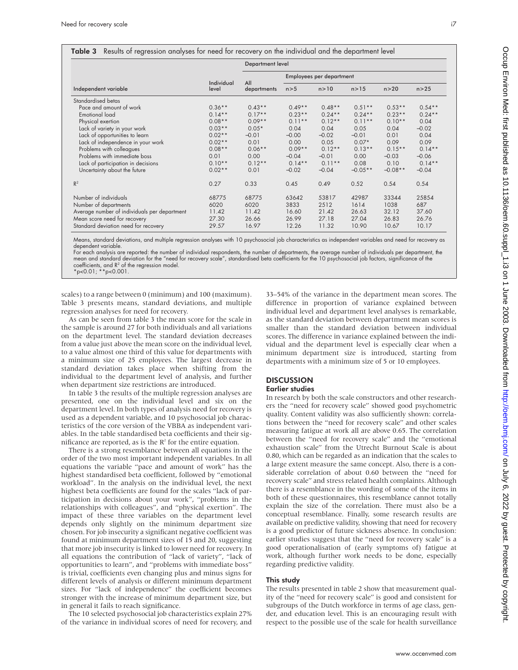|                                              | Individual<br>level | Department level   |                          |           |           |           |           |  |
|----------------------------------------------|---------------------|--------------------|--------------------------|-----------|-----------|-----------|-----------|--|
|                                              |                     | All<br>departments | Employees per department |           |           |           |           |  |
| Independent variable                         |                     |                    | n > 5                    | n > 10    | n > 15    | n > 20    | n > 25    |  |
| Standardised betas                           |                     |                    |                          |           |           |           |           |  |
| Pace and amount of work                      | $0.36**$            | $0.43**$           | $0.49**$                 | $0.48**$  | $0.51**$  | $0.53**$  | $0.54**$  |  |
| <b>Emotional load</b>                        | $0.14***$           | $0.17**$           | $0.23**$                 | $0.24***$ | $0.24***$ | $0.23**$  | $0.24***$ |  |
| Physical exertion                            | $0.08**$            | $0.09**$           | $0.11**$                 | $0.12**$  | $0.11**$  | $0.10**$  | 0.04      |  |
| Lack of variety in your work                 | $0.03**$            | $0.05*$            | 0.04                     | 0.04      | 0.05      | 0.04      | $-0.02$   |  |
| Lack of opportunities to learn               | $0.02**$            | $-0.01$            | $-0.00$                  | $-0.02$   | $-0.01$   | 0.01      | 0.04      |  |
| Lack of independence in your work            | $0.02**$            | 0.01               | 0.00                     | 0.05      | $0.07*$   | 0.09      | 0.09      |  |
| Problems with colleagues                     | $0.08**$            | $0.06***$          | $0.09**$                 | $0.12**$  | $0.13***$ | $0.15***$ | $0.14***$ |  |
| Problems with immediate boss                 | 0.01                | 0.00               | $-0.04$                  | $-0.01$   | 0.00      | $-0.03$   | $-0.06$   |  |
| Lack of participation in decisions           | $0.10**$            | $0.12**$           | $0.14***$                | $0.11**$  | 0.08      | 0.10      | $0.14***$ |  |
| Uncertainty about the future                 | $0.02**$            | 0.01               | $-0.02$                  | $-0.04$   | $-0.05**$ | $-0.08**$ | $-0.04$   |  |
| $R^2$                                        | 0.27                | 0.33               | 0.45                     | 0.49      | 0.52      | 0.54      | 0.54      |  |
| Number of individuals                        | 68775               | 68775              | 63642                    | 53817     | 42987     | 33344     | 25854     |  |
| Number of departments                        | 6020                | 6020               | 3833                     | 2512      | 1614      | 1038      | 687       |  |
| Average number of individuals per department | 11.42               | 11.42              | 16.60                    | 21.42     | 26.63     | 32.12     | 37.60     |  |
| Mean score need for recovery                 | 27.30               | 26.66              | 26.99                    | 27.18     | 27.04     | 26.83     | 26.76     |  |
| Standard deviation need for recovery         | 29.57               | 16.97              | 12.26                    | 11.32     | 10.90     | 10.67     | 10.17     |  |

Means, standard deviations, and multiple regression analyses with 10 psychosocial job characteristics as independent variables and need for recovery as dependent variable.

For each analysis are reported: the number of individual respondents, the number of departments, the average number of individuals per department, the mean and standard deviation for the "need for recovery scale", standardised beta coefficients for the 10 psychosocial job factors, significance of the coefficients, and R2 of the regression model. \*p<0.01; \*\*p<0.001.

scales) to a range between 0 (minimum) and 100 (maximum). Table 3 presents means, standard deviations, and multiple regression analyses for need for recovery.

As can be seen from table 3 the mean score for the scale in the sample is around 27 for both individuals and all variations on the department level. The standard deviation decreases from a value just above the mean score on the individual level, to a value almost one third of this value for departments with a minimum size of 25 employees. The largest decrease in standard deviation takes place when shifting from the individual to the department level of analysis, and further when department size restrictions are introduced.

In table 3 the results of the multiple regression analyses are presented, one on the individual level and six on the department level. In both types of analysis need for recovery is used as a dependent variable, and 10 psychosocial job characteristics of the core version of the VBBA as independent variables. In the table standardised beta coefficients and their significance are reported, as is the  $R^2$  for the entire equation.

There is a strong resemblance between all equations in the order of the two most important independent variables. In all equations the variable "pace and amount of work" has the highest standardised beta coefficient, followed by "emotional workload". In the analysis on the individual level, the next highest beta coefficients are found for the scales "lack of participation in decisions about your work", "problems in the relationships with colleagues", and "physical exertion". The impact of these three variables on the department level depends only slightly on the minimum department size chosen. For job insecurity a significant negative coefficient was found at minimum department sizes of 15 and 20, suggesting that more job insecurity is linked to lower need for recovery. In all equations the contribution of "lack of variety", "lack of opportunities to learn", and "problems with immediate boss" is trivial, coefficients even changing plus and minus signs for different levels of analysis or different minimum department sizes. For "lack of independence" the coefficient becomes stronger with the increase of minimum department size, but in general it fails to reach significance.

The 10 selected psychosocial job characteristics explain 27% of the variance in individual scores of need for recovery, and 33–54% of the variance in the department mean scores. The difference in proportion of variance explained between individual level and department level analyses is remarkable, as the standard deviation between department mean scores is smaller than the standard deviation between individual scores. The difference in variance explained between the individual and the department level is especially clear when a minimum department size is introduced, starting from departments with a minimum size of 5 or 10 employees.

# **DISCUSSION**

## Earlier studies

In research by both the scale constructors and other researchers the "need for recovery scale" showed good psychometric quality. Content validity was also sufficiently shown: correlations between the "need for recovery scale" and other scales measuring fatigue at work all are above 0.65. The correlation between the "need for recovery scale" and the "emotional exhaustion scale" from the Utrecht Burnout Scale is about 0.80, which can be regarded as an indication that the scales to a large extent measure the same concept. Also, there is a considerable correlation of about 0.60 between the "need for recovery scale" and stress related health complaints. Although there is a resemblance in the wording of some of the items in both of these questionnaires, this resemblance cannot totally explain the size of the correlation. There must also be a conceptual resemblance. Finally, some research results are available on predictive validity, showing that need for recovery is a good predictor of future sickness absence. In conclusion: earlier studies suggest that the "need for recovery scale" is a good operationalisation of (early symptoms of) fatigue at work, although further work needs to be done, especially regarding predictive validity.

## This study

The results presented in table 2 show that measurement quality of the "need for recovery scale" is good and consistent for subgroups of the Dutch workforce in terms of age class, gender, and education level. This is an encouraging result with respect to the possible use of the scale for health surveillance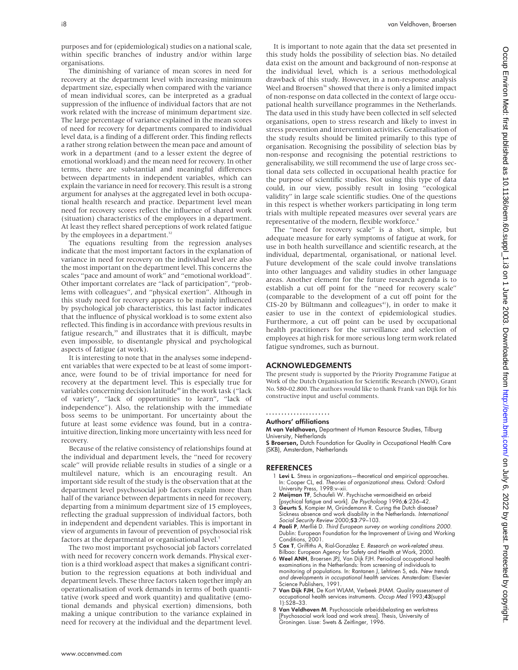purposes and for (epidemiological) studies on a national scale, within specific branches of industry and/or within large organisations.

The diminishing of variance of mean scores in need for recovery at the department level with increasing minimum department size, especially when compared with the variance of mean individual scores, can be interpreted as a gradual suppression of the influence of individual factors that are not work related with the increase of minimum department size. The large percentage of variance explained in the mean scores of need for recovery for departments compared to individual level data, is a finding of a different order. This finding reflects a rather strong relation between the mean pace and amount of work in a department (and to a lesser extent the degree of emotional workload) and the mean need for recovery. In other terms, there are substantial and meaningful differences between departments in independent variables, which can explain the variance in need for recovery. This result is a strong argument for analyses at the aggregated level in both occupational health research and practice. Department level mean need for recovery scores reflect the influence of shared work (situation) characteristics of the employees in a department. At least they reflect shared perceptions of work related fatigue by the employees in a department.<sup>32</sup>

The equations resulting from the regression analyses indicate that the most important factors in the explanation of variance in need for recovery on the individual level are also the most important on the department level. This concerns the scales "pace and amount of work" and "emotional workload". Other important correlates are "lack of participation", "problems with colleagues", and "physical exertion". Although in this study need for recovery appears to be mainly influenced by psychological job characteristics, this last factor indicates that the influence of physical workload is to some extent also reflected. This finding is in accordance with previous results in fatigue research,<sup>39</sup> and illustrates that it is difficult, maybe even impossible, to disentangle physical and psychological aspects of fatigue (at work).

It is interesting to note that in the analyses some independent variables that were expected to be at least of some importance, were found to be of trivial importance for need for recovery at the department level. This is especially true for variables concerning decision latitude<sup>40</sup> in the work task ("lack of variety", "lack of opportunities to learn", "lack of independence"). Also, the relationship with the immediate boss seems to be unimportant. For uncertainty about the future at least some evidence was found, but in a contraintuitive direction, linking more uncertainty with less need for recovery.

Because of the relative consistency of relationships found at the individual and department levels, the "need for recovery scale" will provide reliable results in studies of a single or a multilevel nature, which is an encouraging result. An important side result of the study is the observation that at the department level psychosocial job factors explain more than half of the variance between departments in need for recovery, departing from a minimum department size of 15 employees, reflecting the gradual suppression of individual factors, both in independent and dependent variables. This is important in view of arguments in favour of prevention of psychosocial risk factors at the departmental or organisational level.<sup>5</sup>

The two most important psychosocial job factors correlated with need for recovery concern work demands. Physical exertion is a third workload aspect that makes a significant contribution to the regression equations at both individual and department levels. These three factors taken together imply an operationalisation of work demands in terms of both quantitative (work speed and work quantity) and qualitative (emotional demands and physical exertion) dimensions, both making a unique contribution to the variance explained in need for recovery at the individual and the department level.

It is important to note again that the data set presented in this study holds the possibility of selection bias. No detailed data exist on the amount and background of non-response at the individual level, which is a serious methodological drawback of this study. However, in a non-response analysis Weel and Broersen<sup>36</sup> showed that there is only a limited impact of non-response on data collected in the context of large occupational health surveillance programmes in the Netherlands. The data used in this study have been collected in self selected organisations, open to stress research and likely to invest in stress prevention and intervention activities. Generalisation of the study results should be limited primarily to this type of organisation. Recognising the possibility of selection bias by non-response and recognising the potential restrictions to generalisability, we still recommend the use of large cross sectional data sets collected in occupational health practice for the purpose of scientific studies. Not using this type of data could, in our view, possibly result in losing "ecological validity" in large scale scientific studies. One of the questions in this respect is whether workers participating in long term trials with multiple repeated measures over several years are representative of the modern, flexible workforce.<sup>4</sup>

The "need for recovery scale" is a short, simple, but adequate measure for early symptoms of fatigue at work, for use in both health surveillance and scientific research, at the individual, departmental, organisational, or national level. Future development of the scale could involve translations into other languages and validity studies in other language areas. Another element for the future research agenda is to establish a cut off point for the "need for recovery scale" (comparable to the development of a cut off point for the  $CIS-20$  by Bültmann and colleagues<sup>41</sup>), in order to make it easier to use in the context of epidemiological studies. Furthermore, a cut off point can be used by occupational health practitioners for the surveillance and selection of employees at high risk for more serious long term work related fatigue syndromes, such as burnout.

## ACKNOWLEDGEMENTS

The present study is supported by the Priority Programme Fatigue at Work of the Dutch Organisation for Scientific Research (NWO), Grant No. 580-02.800. The authors would like to thank Frank van Dijk for his constructive input and useful comments.

## .....................

## Authors' affiliations

M van Veldhoven, Department of Human Resource Studies, Tilburg University, Netherlands

S Broersen, Dutch Foundation for Quality in Occupational Health Care (SKB), Amsterdam, Netherlands

#### REFERENCES

- 1 Levi L. Stress in organizations—theoretical and empirical approaches. In: Cooper CL, ed. Theories of organizational stress. Oxford: Oxford University Press, 1998:v–xii.
- 2 Meijman TF, Schaufeli W. Psychische vermoeidheid en arbeid [psychical fatigue and work]. De Psycholoog 1996;6:236–42.
- 3 Geurts S, Kompier M, Gründemann R. Curing the Dutch disease? Sickness absence and work disability in the Netherlands. International Social Security Review 2000;53:79-103.
- 4 Paoli P, Merllié D. Third European survey on working conditions 2000. Dublin: European Foundation for the Improvement of Living and Working Conditions, 2001.
- 5 Cox T, Griffiths A, Rial-González E. Research on work-related stress.
- Bilbao: European Agency for Safety and Health at Work, 2000.<br>6 Weel ANH, Broersen JPJ, Van Dijk FJH. Periodical occupational health<br>examinations in the Netherlands: from screening of individuals to monitoring of populations. In: Rantanen J, Lehtinen S, eds. New trends and developments in occupational health services. Amsterdam: Elsevier Science Publishers, 1991.
- 7 Van Dijk FJH, De Kort WLAM, Verbeek JHAM. Quality assessment of occupational health services instruments. Occup Med 1993;43(suppl  $11.528 - 33.$
- 8 Van Veldhoven M. Psychosociale arbeidsbelasting en werkstress [Psychosocial work load and work stress]. Thesis, University of Groningen. Lisse: Swets & Zeitlinger, 1996.